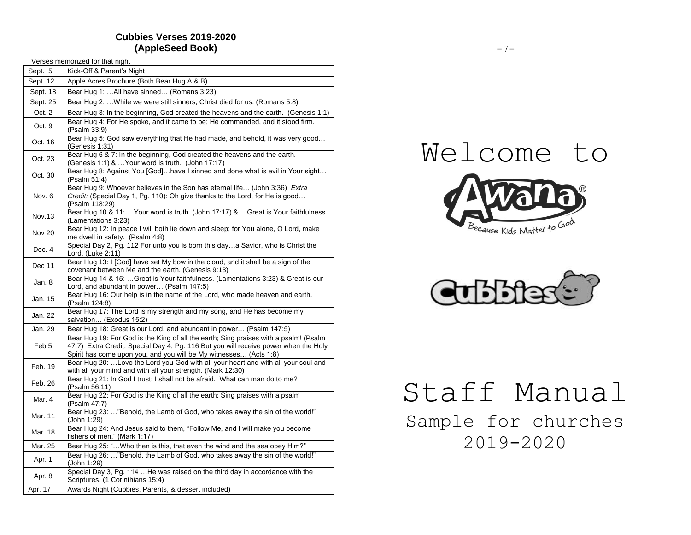# **Cubbies Verses 2019-2020 (AppleSeed Book)**

|                  | Verses memorized for that night                                                                                                                                                                                                                  |  |  |
|------------------|--------------------------------------------------------------------------------------------------------------------------------------------------------------------------------------------------------------------------------------------------|--|--|
| Sept. 5          | Kick-Off & Parent's Night                                                                                                                                                                                                                        |  |  |
| Sept. 12         | Apple Acres Brochure (Both Bear Hug A & B)                                                                                                                                                                                                       |  |  |
| Sept. 18         | Bear Hug 1: All have sinned (Romans 3:23)                                                                                                                                                                                                        |  |  |
| Sept. 25         | Bear Hug 2:  While we were still sinners, Christ died for us. (Romans 5:8)                                                                                                                                                                       |  |  |
| Oct. 2           | Bear Hug 3: In the beginning, God created the heavens and the earth. (Genesis 1:1)                                                                                                                                                               |  |  |
| Oct. 9           | Bear Hug 4: For He spoke, and it came to be; He commanded, and it stood firm.<br>(Psalm 33:9)                                                                                                                                                    |  |  |
| Oct. 16          | Bear Hug 5: God saw everything that He had made, and behold, it was very good<br>(Genesis 1:31)                                                                                                                                                  |  |  |
| Oct. 23          | Bear Hug 6 & 7: In the beginning, God created the heavens and the earth.<br>(Genesis 1:1) &  Your word is truth. (John 17:17)                                                                                                                    |  |  |
| Oct. 30          | Bear Hug 8: Against You [God]have I sinned and done what is evil in Your sight<br>(Psalm 51:4)                                                                                                                                                   |  |  |
| Nov. 6           | Bear Hug 9: Whoever believes in the Son has eternal life (John 3:36) Extra<br>Credit: (Special Day 1, Pg. 110): Oh give thanks to the Lord, for He is good<br>(Psalm 118:29)                                                                     |  |  |
| Nov.13           | Bear Hug 10 & 11:  Your word is truth. (John 17:17) &  Great is Your faithfulness.<br>(Lamentations 3:23)                                                                                                                                        |  |  |
| <b>Nov 20</b>    | Bear Hug 12: In peace I will both lie down and sleep; for You alone, O Lord, make<br>me dwell in safety. (Psalm 4:8)                                                                                                                             |  |  |
| Dec. 4           | Special Day 2, Pg. 112 For unto you is born this daya Savior, who is Christ the<br>Lord. (Luke 2:11)                                                                                                                                             |  |  |
| Dec 11           | Bear Hug 13: I [God] have set My bow in the cloud, and it shall be a sign of the<br>covenant between Me and the earth. (Genesis 9:13)                                                                                                            |  |  |
| Jan. 8           | Bear Hug 14 & 15: Great is Your faithfulness. (Lamentations 3:23) & Great is our<br>Lord, and abundant in power (Psalm 147:5)                                                                                                                    |  |  |
| Jan. 15          | Bear Hug 16: Our help is in the name of the Lord, who made heaven and earth.<br>(Psalm 124:8)                                                                                                                                                    |  |  |
| Jan. 22          | Bear Hug 17: The Lord is my strength and my song, and He has become my<br>salvation (Exodus 15:2)                                                                                                                                                |  |  |
| Jan. 29          | Bear Hug 18: Great is our Lord, and abundant in power (Psalm 147:5)                                                                                                                                                                              |  |  |
| Feb <sub>5</sub> | Bear Hug 19: For God is the King of all the earth; Sing praises with a psalm! (Psalm<br>47:7) Extra Credit: Special Day 4, Pg. 116 But you will receive power when the Holy<br>Spirit has come upon you, and you will be My witnesses (Acts 1:8) |  |  |
| Feb. 19          | Bear Hug 20: Love the Lord you God with all your heart and with all your soul and<br>with all your mind and with all your strength. (Mark 12:30)                                                                                                 |  |  |
| Feb. 26          | Bear Hug 21: In God I trust; I shall not be afraid. What can man do to me?<br>(Psalm 56:11)                                                                                                                                                      |  |  |
| Mar. 4           | Bear Hug 22: For God is the King of all the earth; Sing praises with a psalm<br>(Psalm 47:7)                                                                                                                                                     |  |  |
| Mar. 11          | Bear Hug 23: "Behold, the Lamb of God, who takes away the sin of the world!"<br>(John 1:29)                                                                                                                                                      |  |  |
| Mar. 18          | Bear Hug 24: And Jesus said to them, "Follow Me, and I will make you become<br>fishers of men." (Mark 1:17)                                                                                                                                      |  |  |
| Mar. 25          | Bear Hug 25: " Who then is this, that even the wind and the sea obey Him?"                                                                                                                                                                       |  |  |
| Apr. 1           | Bear Hug 26: "Behold, the Lamb of God, who takes away the sin of the world!"<br>(John 1:29)                                                                                                                                                      |  |  |
| Apr. 8           | Special Day 3, Pg. 114  He was raised on the third day in accordance with the<br>Scriptures. (1 Corinthians 15:4)                                                                                                                                |  |  |
| Apr. 17          | Awards Night (Cubbies, Parents, & dessert included)                                                                                                                                                                                              |  |  |





# Staff Manual

Sample for churches 2019-2020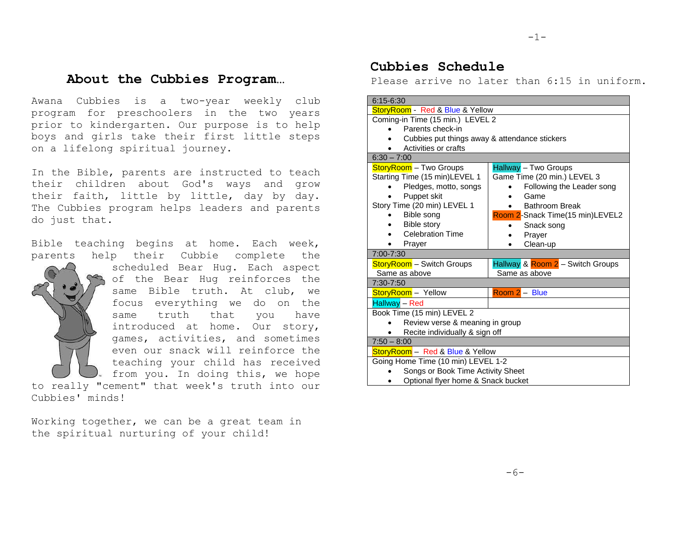# **About the Cubbies Program…**

Awana Cubbies is a two-year weekly club program for preschoolers in the two years prior to kindergarten. Our purpose is to help boys and girls take their first little steps on a lifelong spiritual journey.

In the Bible, parents are instructed to teach their children about God's ways and grow their faith, little by little, day by day. The Cubbies program helps leaders and parents do just that.

Bible teaching begins at home. Each week, parents help their Cubbie complete the

scheduled Bear Hug. Each aspect of the Bear Hug reinforces the same Bible truth. At club, we focus everything we do on the same truth that you have introduced at home. Our story, games, activities, and sometimes even our snack will reinforce the teaching your child has received from you. In doing this, we hope to really "cement" that week's truth into our Cubbies' minds!

Working together, we can be a great team in the spiritual nurturing of your child!

# **Cubbies Schedule**

Please arrive no later than 6:15 in uniform.

| $6:15 - 6:30$                                 |                                  |  |  |  |
|-----------------------------------------------|----------------------------------|--|--|--|
| StoryRoom - Red & Blue & Yellow               |                                  |  |  |  |
| Coming-in Time (15 min.) LEVEL 2              |                                  |  |  |  |
| Parents check-in                              |                                  |  |  |  |
| Cubbies put things away & attendance stickers |                                  |  |  |  |
| Activities or crafts                          |                                  |  |  |  |
| $6:30 - 7:00$                                 |                                  |  |  |  |
| StoryRoom - Two Groups                        | Hallway - Two Groups             |  |  |  |
| Starting Time (15 min)LEVEL 1                 | Game Time (20 min.) LEVEL 3      |  |  |  |
| Pledges, motto, songs                         | Following the Leader song        |  |  |  |
| Puppet skit                                   | Game                             |  |  |  |
| Story Time (20 min) LEVEL 1                   | <b>Bathroom Break</b>            |  |  |  |
| Bible song                                    | Room 2-Snack Time(15 min)LEVEL2  |  |  |  |
| <b>Bible story</b>                            | Snack song                       |  |  |  |
| <b>Celebration Time</b>                       | Prayer                           |  |  |  |
| Prayer                                        | Clean-up<br>٠                    |  |  |  |
| $7:00 - 7:30$                                 |                                  |  |  |  |
| <b>StoryRoom</b> - Switch Groups              | Hallway & Room 2 - Switch Groups |  |  |  |
| Same as above                                 | Same as above                    |  |  |  |
| 7:30-7:50                                     |                                  |  |  |  |
| StoryRoom - Yellow                            | $Room 2 - Blue$                  |  |  |  |
| Hallway - Red                                 |                                  |  |  |  |
| Book Time (15 min) LEVEL 2                    |                                  |  |  |  |
| Review verse & meaning in group               |                                  |  |  |  |
| Recite individually & sign off                |                                  |  |  |  |
| $7:50 - 8:00$                                 |                                  |  |  |  |
| StoryRoom - Red & Blue & Yellow               |                                  |  |  |  |
| Going Home Time (10 min) LEVEL 1-2            |                                  |  |  |  |
| Songs or Book Time Activity Sheet             |                                  |  |  |  |
| Optional flyer home & Snack bucket            |                                  |  |  |  |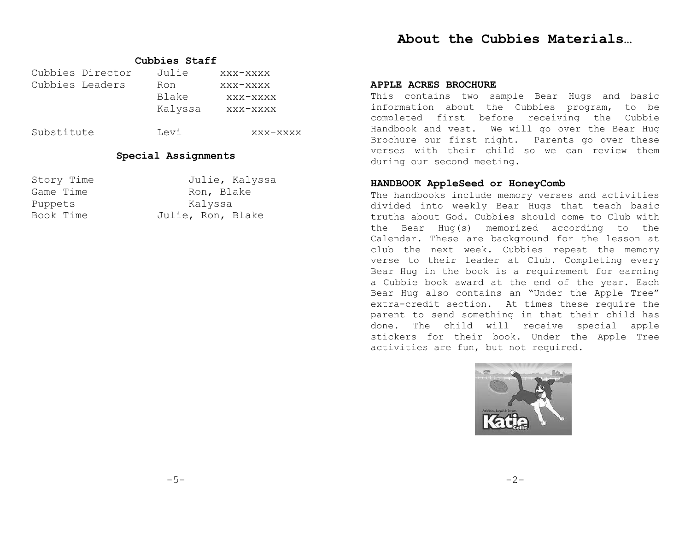# **About the Cubbies Materials…**

### **Cubbies Staff**

|                 | Cubbies Director | Julie   | XXX-XXXX |
|-----------------|------------------|---------|----------|
| Cubbies Leaders |                  | Ron     | XXX-XXXX |
|                 |                  | Blake   | XXX-XXXX |
|                 |                  | Kalyssa | xxx-xxxx |
|                 |                  |         |          |

Substitute Levi xxx-xxxx

### **Special Assignments**

| Story Time | Julie, Kalyssa    |
|------------|-------------------|
| Game Time  | Ron, Blake        |
| Puppets    | Kalyssa           |
| Book Time  | Julie, Ron, Blake |

### **APPLE ACRES BROCHURE**

This contains two sample Bear Hugs and basic information about the Cubbies program, to be completed first before receiving the Cubbie Handbook and vest. We will go over the Bear Hug Brochure our first night. Parents go over these verses with their child so we can review them during our second meeting.

### **HANDBOOK AppleSeed or HoneyComb**

The handbooks include memory verses and activities divided into weekly Bear Hugs that teach basic truths about God. Cubbies should come to Club with the Bear Hug(s) memorized according to the Calendar. These are background for the lesson at club the next week. Cubbies repeat the memory verse to their leader at Club. Completing every Bear Hug in the book is a requirement for earning a Cubbie book award at the end of the year. Each Bear Hug also contains an "Under the Apple Tree" extra-credit section. At times these require the parent to send something in that their child has done. The child will receive special apple stickers for their book. Under the Apple Tree activities are fun, but not required.